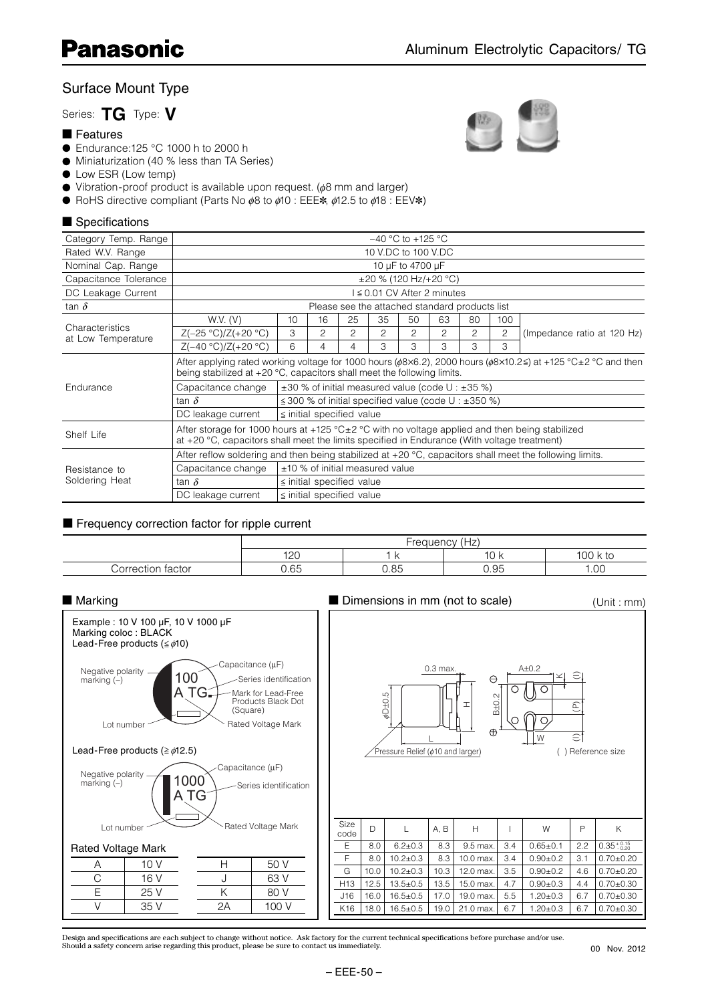# Surface Mount Type

## Series: **TG** Type: **V**

### ■ Features

- Endurance:125 °C 1000 h to 2000 h
- Miniaturization (40 % less than TA Series)
- Low ESR (Low temp)
- Vibration-proof product is available upon request. (φ8 mm and larger)
- RoHS directive compliant (Parts No  $\phi$ 8 to  $\phi$ 10 : EEE $\ast$ ,  $\phi$ 12.5 to  $\phi$ 18 : EEV $\ast$ )

## ■ Specifications

| Category Temp. Range                  | $-40$ °C to +125 °C                                                                                                                                                                                     |    |    |    |    |                |    |    |     |                             |  |  |
|---------------------------------------|---------------------------------------------------------------------------------------------------------------------------------------------------------------------------------------------------------|----|----|----|----|----------------|----|----|-----|-----------------------------|--|--|
| Rated W.V. Range                      | 10 V.DC to 100 V.DC                                                                                                                                                                                     |    |    |    |    |                |    |    |     |                             |  |  |
| Nominal Cap. Range                    | 10 µF to 4700 µF                                                                                                                                                                                        |    |    |    |    |                |    |    |     |                             |  |  |
| Capacitance Tolerance                 | $\pm 20$ % (120 Hz/+20 °C)                                                                                                                                                                              |    |    |    |    |                |    |    |     |                             |  |  |
| DC Leakage Current                    | $\leq$ 0.01 CV After 2 minutes                                                                                                                                                                          |    |    |    |    |                |    |    |     |                             |  |  |
| tan $\delta$                          | Please see the attached standard products list                                                                                                                                                          |    |    |    |    |                |    |    |     |                             |  |  |
|                                       | W.V. (V)                                                                                                                                                                                                | 10 | 16 | 25 | 35 | 50             | 63 | 80 | 100 |                             |  |  |
| Characteristics<br>at Low Temperature | $Z(-25 °C)/Z(+20 °C)$                                                                                                                                                                                   | 3  | 2  | 2  | 2  | $\overline{2}$ | 2  | 2  | 2   | (Impedance ratio at 120 Hz) |  |  |
|                                       | $Z(-40 °C)/Z(+20 °C)$                                                                                                                                                                                   | 6  | 4  | 4  | 3  | 3              | З  | 3  | 3   |                             |  |  |
|                                       | After applying rated working voltage for 1000 hours ( $\phi$ 8x6.2), 2000 hours ( $\phi$ 8x10.2≤) at +125 °C±2 °C and then<br>being stabilized at $+20$ °C, capacitors shall meet the following limits. |    |    |    |    |                |    |    |     |                             |  |  |
| Endurance                             | Capacitance change<br>$\pm$ 30 % of initial measured value (code U : $\pm$ 35 %)                                                                                                                        |    |    |    |    |                |    |    |     |                             |  |  |
|                                       | $\leq$ 300 % of initial specified value (code U : $\pm$ 350 %)<br>tan $\delta$                                                                                                                          |    |    |    |    |                |    |    |     |                             |  |  |
|                                       | DC leakage current<br>$\le$ initial specified value                                                                                                                                                     |    |    |    |    |                |    |    |     |                             |  |  |
| Shelf Life                            | After storage for 1000 hours at +125 °C $\pm$ 2 °C with no voltage applied and then being stabilized<br>at $+20$ °C, capacitors shall meet the limits specified in Endurance (With voltage treatment)   |    |    |    |    |                |    |    |     |                             |  |  |
|                                       | After reflow soldering and then being stabilized at $+20\degree C$ , capacitors shall meet the following limits.                                                                                        |    |    |    |    |                |    |    |     |                             |  |  |
| Resistance to                         | ±10 % of initial measured value<br>Capacitance change                                                                                                                                                   |    |    |    |    |                |    |    |     |                             |  |  |
| Soldering Heat                        | tan $\delta$<br>$\le$ initial specified value                                                                                                                                                           |    |    |    |    |                |    |    |     |                             |  |  |
|                                       | $\le$ initial specified value<br>DC leakage current                                                                                                                                                     |    |    |    |    |                |    |    |     |                             |  |  |

#### ■ Frequency correction factor for ripple current

|                      | Freauencv<br>—−'<br>⊥∠ |      |                             |           |  |  |  |  |
|----------------------|------------------------|------|-----------------------------|-----------|--|--|--|--|
|                      | 10 <sup>c</sup><br>∣∠∪ |      | $\overline{10}$<br><br>IV N | 100<br>tc |  |  |  |  |
| tactor<br>Correction | 0.65                   | 0.85 | 0.95                        | 1.00      |  |  |  |  |

#### A±0.2 W ( ) Reference size L φD±0.5 HB<sub>+0</sub>  $\Rightarrow$ K $\widehat{\Omega}$  $\oplus$  $\frac{0.3 \text{ max.}}{\ }$   $\qquad \qquad$   $\qquad \qquad$ Pressure Relief (¢10 and larger) 100 A TG Capacitance (µF) Rated Voltage Mark Series identification Mark for Lead-Free Products Black Dot (Square) Lot number Negative polarity marking (–) 1000 A TG Capacitance (µF) Rated Voltage Mark Series identification Lot number Negative polarity marking (–) ■ Marking ■ Dimensions in mm (not to scale) Example : 10 V 100 µF, 10 V 1000 µF Marking coloc : BLACK Lead-Free products ( $\leq \phi$ 10) Lead-Free products ( $\geq \phi$ 12.5) Size code D L A, B H I W P K  $E$  8.0 6.2±0.3 8.3 9.5 max. 3.4 0.65±0.1 2.2 F | 8.0 | 10.2 $\pm$ 0.3 | 8.3 | 10.0 max. | 3.4 | 0.90 $\pm$ 0.2 | 3.1 | 0.70 $\pm$ 0.20 G | 10.0 | 10.2 $\pm$ 0.3 | 10.3 | 12.0 max. | 3.5 | 0.90 $\pm$ 0.2 | 4.6 | 0.70 $\pm$ 0.20 H13 12.5 13.5±0.5 13.5 15.0 max. 4.7 0.90±0.3 4.4 0.70±0.30  $J16$  16.0 16.5±0.5 17.0 19.0 max. 5.5 1.20±0.3 6.7 0.70±0.30 K16 | 18.0 | 16.5±0.5 | 19.0 | 21.0 max. | 6.7 | 1.20±0.3 | 6.7 | 0.70±0.30  $0.35 \div 0.15$ (Unit : mm) A 10 V  $C$  16 V E 25 V  $V$  35 V Rated Voltage Mark H 50 V J 63 V K 80 V 2A 100 V

Design and specifications are each subject to change without notice. Ask factory for the current technical specifications before purchase and/or use.<br>Should a safety concern arise regarding this product, please be sure to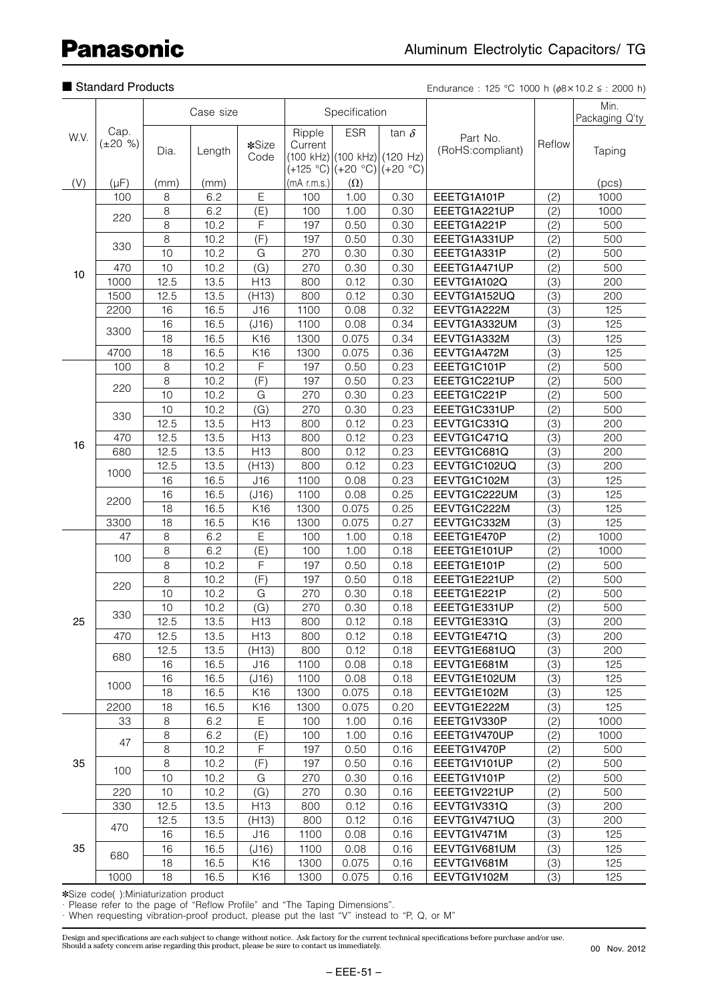# ■ Standard Products

Endurance : 125 °C 1000 h ( $\phi$ 8 x 10.2  $\le$  : 2000 h)

|      | Cap.                   |                |              |                        |                   |                              |                             |                             |            | Min.           |
|------|------------------------|----------------|--------------|------------------------|-------------------|------------------------------|-----------------------------|-----------------------------|------------|----------------|
| W.V. |                        | Case size      |              |                        |                   | Specification                |                             |                             |            | Packaging Q'ty |
|      |                        |                | Length       | *Size                  | Ripple<br>Current | <b>ESR</b>                   | tan $\delta$                | Part No.                    | Reflow     |                |
|      | $(\pm 20 \%)$          | Dia.           |              |                        |                   |                              |                             | (RoHS:compliant)            |            | Taping         |
|      |                        |                |              | Code                   |                   | (100 kHz) (100 kHz) (120 Hz) |                             |                             |            |                |
|      |                        |                |              |                        | $(mA$ r.m.s.)     |                              | (+125 °C) (+20 °C) (+20 °C) |                             |            |                |
| (V)  | $(\mu F)$<br>100       | (mm)<br>8      | (mm)<br>6.2  | Ε                      | 100               | $(\Omega)$<br>1.00           | 0.30                        | EEETG1A101P                 |            | (pcs)<br>1000  |
|      |                        | 8              | 6.2          | (E)                    | 100               | 1.00                         | 0.30                        | EEETG1A221UP                | (2)<br>(2) | 1000           |
|      | 220                    | $\overline{8}$ | 10.2         | F                      | 197               | 0.50                         | 0.30                        | EEETG1A221P                 |            | 500            |
|      |                        | 8              | 10.2         | (F)                    | 197               | 0.50                         | 0.30                        | EEETG1A331UP                | (2)<br>(2) | 500            |
|      | 330                    | 10             | 10.2         | G                      | 270               | 0.30                         | 0.30                        | EEETG1A331P                 | (2)        | 500            |
|      | 470                    | 10             | 10.2         | (G)                    | 270               | 0.30                         | 0.30                        | EEETG1A471UP                | (2)        | 500            |
| 10   | 1000                   | 12.5           | 13.5         | H <sub>13</sub>        | 800               | 0.12                         | 0.30                        | EEVTG1A102Q                 | (3)        | 200            |
|      | 1500                   | 12.5           | 13.5         | (H13)                  | 800               | 0.12                         | 0.30                        | EEVTG1A152UQ                | (3)        | 200            |
|      | 2200                   | 16             | 16.5         | J16                    | 1100              | 0.08                         | 0.32                        | EEVTG1A222M                 | (3)        | 125            |
|      |                        | 16             | 16.5         | (J16)                  | 1100              | 0.08                         | 0.34                        | EEVTG1A332UM                | (3)        | 125            |
|      | 3300                   | 18             | 16.5         | K16                    | 1300              | 0.075                        | 0.34                        | EEVTG1A332M                 | (3)        | 125            |
|      | 4700                   | 18             | 16.5         | K16                    | 1300              | 0.075                        | 0.36                        | EEVTG1A472M                 | (3)        | 125            |
|      | 100                    | 8              | 10.2         | F                      | 197               | 0.50                         | 0.23                        | EEETG1C101P                 | (2)        | 500            |
|      |                        | $\,8\,$        | 10.2         | (F)                    | 197               | 0.50                         | 0.23                        | EEETG1C221UP                | (2)        | 500            |
|      | 220                    | 10             | 10.2         | G                      | 270               |                              | 0.23                        | EEETG1C221P                 |            | 500            |
|      |                        | 10             |              |                        |                   | 0.30                         | 0.23                        |                             | (2)        | 500            |
|      | 330                    |                | 10.2         | (G)<br>H <sub>13</sub> | 270               | 0.30                         | 0.23                        | EEETG1C331UP<br>EEVTG1C331Q | (2)        | 200            |
| 16   |                        | 12.5           | 13.5         |                        | 800               | 0.12                         |                             |                             | (3)        |                |
|      | 470                    | 12.5           | 13.5         | H <sub>13</sub>        | 800               | 0.12                         | 0.23                        | EEVTG1C471Q                 | (3)        | 200            |
|      | 680<br>1000            | 12.5<br>12.5   | 13.5<br>13.5 | H <sub>13</sub>        | 800               | 0.12                         | 0.23                        | EEVTG1C681Q                 | (3)        | 200            |
|      |                        |                |              | (H13)                  | 800               | 0.12                         | 0.23                        | EEVTG1C102UQ                | (3)        | 200            |
|      |                        | 16             | 16.5         | J16                    | 1100              | 0.08                         | 0.23                        | EEVTG1C102M                 | (3)        | 125            |
|      | 2200                   | 16             | 16.5         | (J16)                  | 1100              | 0.08                         | 0.25                        | EEVTG1C222UM                | (3)        | 125            |
|      |                        | 18             | 16.5         | K16                    | 1300              | 0.075                        | 0.25                        | EEVTG1C222M                 | (3)        | 125            |
|      | 3300                   | 18             | 16.5         | K16                    | 1300              | 0.075                        | 0.27                        | EEVTG1C332M                 | (3)        | 125            |
|      | 47                     | 8              | 6.2          | E                      | 100               | 1.00                         | 0.18                        | EEETG1E470P                 | (2)        | 1000           |
|      | 100                    | 8              | 6.2          | (E)                    | 100               | 1.00                         | 0.18                        | EEETG1E101UP                | (2)        | 1000           |
|      |                        | 8              | 10.2         | F                      | 197               | 0.50                         | 0.18                        | EEETG1E101P                 | (2)        | 500            |
|      | 220                    | 8              | 10.2         | (F)                    | 197               | 0.50                         | 0.18                        | EEETG1E221UP                | (2)        | 500            |
|      |                        | 10             | 10.2         | G                      | 270               | 0.30                         | 0.18                        | EEETG1E221P                 | (2)        | 500            |
|      | 330                    | 10             | 10.2         | (G)                    | 270               | 0.30                         | 0.18                        | EEETG1E331UP                | (2)        | 500            |
| 25   |                        | 12.5           | 13.5         | H <sub>13</sub>        | 800               | 0.12                         | 0.18                        | EEVTG1E331Q                 | (3)        | 200            |
|      | 470                    | 12.5           | 13.5         | H <sub>13</sub>        | 800               | 0.12                         | 0.18                        | EEVTG1E471Q                 | (3)        | 200            |
|      | 680                    | 12.5           | 13.5         | (H13)                  | 800               | 0.12                         | 0.18                        | EEVTG1E681UQ                | (3)        | 200            |
|      |                        | 16             | 16.5         | J16                    | 1100              | 0.08                         | 0.18                        | EEVTG1E681M                 | (3)        | 125            |
|      | 1000                   | 16             | 16.5         | (J16)                  | 1100              | 0.08                         | 0.18                        | EEVTG1E102UM                | (3)        | 125            |
|      |                        | 18             | 16.5         | K16                    | 1300              | 0.075                        | 0.18                        | EEVTG1E102M                 | (3)        | 125            |
|      | 2200                   | 18<br>$\,8\,$  | 16.5<br>6.2  | K16<br>$\mathsf E$     | 1300              | 0.075                        | 0.20                        | EEVTG1E222M                 | (3)        | 125            |
|      | 33<br>47<br>100<br>220 |                |              |                        | 100               | 1.00                         | 0.16                        | EEETG1V330P                 | (2)        | 1000           |
|      |                        | $\,8\,$        | 6.2          | (E)                    | 100               | 1.00                         | 0.16                        | EEETG1V470UP                | (2)        | 1000           |
| 35   |                        | $\,8\,$        | 10.2         | $\mathsf F$            | 197               | 0.50                         | 0.16                        | EEETG1V470P                 | (2)        | 500            |
|      |                        | $\,8\,$        | 10.2         | (F)                    | 197               | 0.50                         | 0.16                        | EEETG1V101UP                | (2)        | 500            |
|      |                        | 10             | 10.2         | G                      | 270               | 0.30                         | 0.16                        | EEETG1V101P                 | (2)        | 500            |
|      |                        | $10$           | 10.2         | (G)                    | 270               | 0.30                         | 0.16                        | EEETG1V221UP                | (2)        | 500            |
|      | 330                    | 12.5           | 13.5         | H <sub>13</sub>        | 800               | 0.12                         | 0.16                        | EEVTG1V331Q                 | (3)        | 200            |
|      | 470                    | 12.5           | 13.5         | (H13)                  | 800               | 0.12                         | 0.16                        | EEVTG1V471UQ                | (3)        | 200            |
| 35   |                        | 16             | 16.5         | J16                    | 1100              | 0.08                         | 0.16                        | EEVTG1V471M                 | (3)        | 125            |
|      | 680                    | 16             | 16.5         | (J16)                  | 1100              | 0.08                         | 0.16                        | EEVTG1V681UM                | (3)        | 125            |
|      |                        | 18<br>18       | 16.5         | K16                    | 1300              | 0.075                        | 0.16                        | EEVTG1V681M                 | (3)        | 125<br>125     |
|      | 1000                   |                | 16.5         | K16                    | 1300              | 0.075                        | 0.16                        | EEVTG1V102M                 | (3)        |                |

✽Size code( ):Miniaturization product

· Please refer to the page of "Reflow Profile" and "The Taping Dimensions".

· When requesting vibration-proof product, please put the last "V" instead to "P, Q, or M"

Design and specifications are each subject to change without notice. Ask factory for the current technical specifications before purchase and/or use.<br>Should a safety concern arise regarding this product, please be sure to